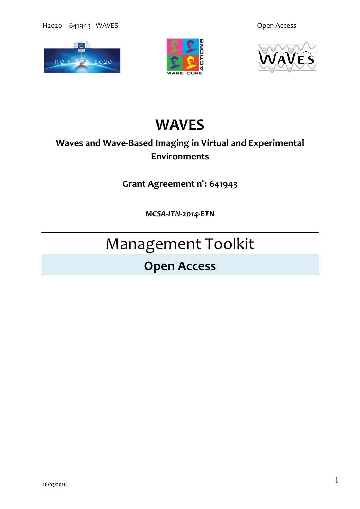H2020 – 641943 - WAVES **Open Access** 







## **WAVES**

### **Waves and Wave-Based Imaging in Virtual and Experimental Environments**

**Grant Agreement n°: 641943**

*MCSA-ITN-2014-ETN*

# Management Toolkit

### **Open Access**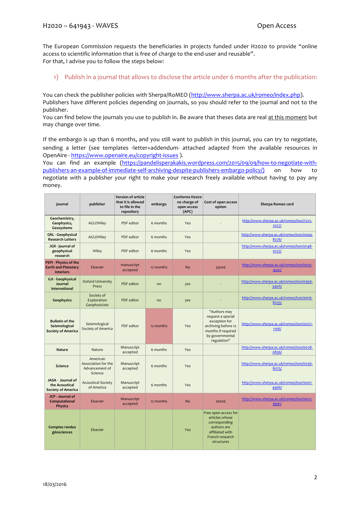The European Commission requests the beneficiaries in projects funded under H2020 to provide "online access to scientific information that is free of charge to the end-user and reusable". For that, I advise you to follow the steps below:

1) Publish in a journal that allows to disclose the article under 6 months after the publication:

You can check the publisher policies with Sherpa/RoMEO (http://www.sherpa.ac.uk/romeo/index.php). Publishers have different policies depending on journals, so you should refer to the journal and not to the publisher.

You can find below the journals you use to publish in. Be aware that theses data are real at this moment but may change over time.

If the embargo is up than 6 months, and you still want to publish in this journal, you can try to negotiate, sending a letter (see templates -letter+addendum- attached adapted from the available resources in OpenAire - https://www.openaire.eu/copyright-issues ).

You can find an example (https://pandelisperakakis.wordpress.com/2015/09/09/how-to-negotiate-withpublishers-an-example-of-immediate-self-archiving-despite-publishers-embargo-policy/) on how to negotiate with a publisher your right to make your research freely available without having to pay any money.

| journal                                                                 | publisher                                                    | <b>Version of article</b><br>that it is allowed<br>to file in the<br>repository | embargo   | Conforms H2020<br>no charge of<br>open access<br>(APC) | Cost of open access<br>option                                                                                                     | Sherpa Romeo card                                 |
|-------------------------------------------------------------------------|--------------------------------------------------------------|---------------------------------------------------------------------------------|-----------|--------------------------------------------------------|-----------------------------------------------------------------------------------------------------------------------------------|---------------------------------------------------|
| Geochemistry,<br>Geophysics,<br>Geosystems                              | AGU/Wiley                                                    | PDF editor                                                                      | 6 months  | Yes                                                    |                                                                                                                                   | http://www.sherpa.ac.uk/romeo/issn/1525-<br>2027  |
| <b>GRL</b> - Geophysical<br><b>Research Letters</b>                     | AGU/Wiley                                                    | PDF editor                                                                      | 6 months  | Yes                                                    |                                                                                                                                   | http://www.sherpa.ac.uk/romeo/issn/0094-<br>8276/ |
| JGR - journal of<br>geophysical<br>research                             | Wiley                                                        | PDF editor                                                                      | 6 months  | Yes                                                    |                                                                                                                                   | http://www.sherpa.ac.uk/romeo/issn/0148-<br>0227/ |
| PEPI - Physics of the<br><b>Earth and Planetary</b><br><b>Interiors</b> | Elsevier                                                     | manuscript<br>accepted                                                          | 12 months | <b>No</b>                                              | 3300\$                                                                                                                            | http://www.sherpa.ac.uk/romeo/issn/0031-<br>9201  |
| <b>GJI - Geophysical</b><br>Journal<br>International                    | <b>Oxford University</b><br>Press                            | PDF editor                                                                      | no        | yes                                                    |                                                                                                                                   | http://www.sherpa.ac.uk/romeo/issn/0956-<br>540X/ |
| Geophysics                                                              | Society of<br>Exploration<br>Geophysicists                   | PDF editor                                                                      | no        | yes                                                    |                                                                                                                                   | http://www.sherpa.ac.uk/romeo/issn/0016-<br>8033/ |
| <b>Bulletin of the</b><br>Seismological<br><b>Society of America</b>    | Seismological<br>Society of America                          | PDF editor                                                                      | 12 months | Yes                                                    | "Authors may<br>request a special<br>exception for<br>archiving before 12<br>months if required<br>by governmental<br>regulation" | http://www.sherpa.ac.uk/romeo/issn/0037-<br>1106/ |
| Nature                                                                  | Nature                                                       | Manuscript<br>accepted                                                          | 6 months  | Yes                                                    |                                                                                                                                   | http://www.sherpa.ac.uk/romeo/issn/0028-<br>0836/ |
| Science                                                                 | American<br>Association for the<br>Advancement of<br>Science | Manuscript<br>accepted                                                          | 6 months  | Yes                                                    |                                                                                                                                   | http://www.sherpa.ac.uk/romeo/issn/0036-<br>8075/ |
| JASA - Journal of<br>the Acoustical<br><b>Society of America</b>        | <b>Acoustical Society</b><br>of America                      | Manuscript<br>accepted                                                          | 6 months  | Yes                                                    |                                                                                                                                   | http://www.sherpa.ac.uk/romeo/issn/0001-<br>4966/ |
| JCP - Journal of<br>Computational<br><b>Physics</b>                     | Elsevier                                                     | Manuscript<br>accepted                                                          | 12 months | <b>No</b>                                              | 2600\$                                                                                                                            | http://www.sherpa.ac.uk/romeo/issn/0021-<br>9991/ |
| <b>Comptes rendus</b><br>géosciences                                    | Elsevier                                                     |                                                                                 |           | Yes                                                    | Free open access for<br>articles whose<br>corresponding<br>authors are<br>affiliated with<br>French research<br>structures        |                                                   |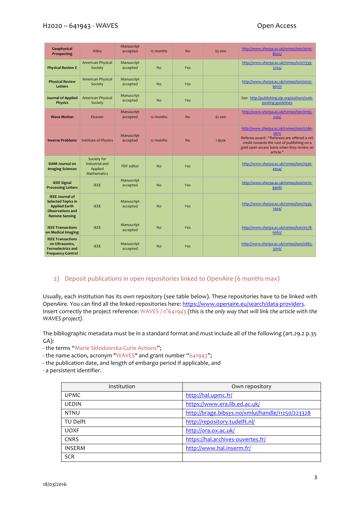#### H2020 – 641943 - WAVES **DEEP SERVICES** Open Access

| Geophysical<br>Prospecting                                                                                                      | Wiley                                                          | Manuscript<br>accepted | 12 months | <b>No</b> | \$3000  | http://www.sherpa.ac.uk/romeo/issn/0016-<br>8025/                                                                                                                                                        |
|---------------------------------------------------------------------------------------------------------------------------------|----------------------------------------------------------------|------------------------|-----------|-----------|---------|----------------------------------------------------------------------------------------------------------------------------------------------------------------------------------------------------------|
| <b>Physical Review E</b>                                                                                                        | American Physical<br>Society                                   | Manuscript<br>accepted | No        | Yes       |         | http://www.sherpa.ac.uk/romeo/issn/1539-<br>3755L                                                                                                                                                        |
| <b>Physical Review</b><br><b>Letters</b>                                                                                        | American Physical<br>Society                                   | Manuscript<br>accepted | <b>No</b> | Yes       |         | http://www.sherpa.ac.uk/romeo/issn/0031-<br>9007/                                                                                                                                                        |
| <b>Journal of Applied</b><br><b>Physics</b>                                                                                     | <b>American Physical</b><br>Society                            | Manuscript<br>accepted | <b>No</b> | Yes       |         | See: http://publishing.aip.org/authors/web-<br>posting-guidelines                                                                                                                                        |
| <b>Wave Motion</b>                                                                                                              | Elsevier                                                       | Manuscript<br>accepted | 12 months | <b>No</b> | \$2 200 | http://www.sherpa.ac.uk/romeo/issn/0165-<br>2125/                                                                                                                                                        |
| <b>Inverse Problems</b>                                                                                                         | <b>Institute of Physics</b>                                    | Manuscript<br>accepted | 12 months | <b>No</b> | 1950€   | http://www.sherpa.ac.uk/romeo/issn/0266-<br>5611/<br>Referee award: "Referees are offered a 10%<br>credit towards the cost of publishing on a<br>gold open access basis when they review an<br>article." |
| <b>SIAM Journal on</b><br><b>Imaging Sciences</b>                                                                               | Society for<br>Industrial and<br>Applied<br><b>Mathematics</b> | PDF editor             | <b>No</b> | Yes       |         | http://www.sherpa.ac.uk/romeo/issn/1936-<br>4954                                                                                                                                                         |
| <b>IEEE Signal</b><br><b>Processing Letters</b>                                                                                 | <b>IEEE</b>                                                    | Manuscript<br>accepted | <b>No</b> | Yes       |         | http://www.sherpa.ac.uk/romeo/issn/1070-<br>9908/                                                                                                                                                        |
| <b>IEEE Journal of</b><br><b>Selected Topics in</b><br><b>Applied Earth</b><br><b>Observations and</b><br><b>Remote Sensing</b> | <b>IEEE</b>                                                    | Manuscript<br>accepted | <b>No</b> | Yes       |         | http://www.sherpa.ac.uk/romeo/issn/1939-<br>1404/                                                                                                                                                        |
| <b>IEEE Transactions</b><br>on Medical Imaging                                                                                  | <b>IEEE</b>                                                    | Manuscript<br>accepted | <b>No</b> | Yes       |         | http://www.sherpa.ac.uk/romeo/issn/0278-<br>0062/                                                                                                                                                        |
| <b>IEEE Transactions</b><br>on Ultrasonics.<br><b>Ferroelectrics and</b><br><b>Frequency Control</b>                            | <b>IEEE</b>                                                    | Manuscript<br>accepted | <b>No</b> | Yes       |         | http://www.sherpa.ac.uk/romeo/issn/0885-<br>3010/                                                                                                                                                        |

#### 2) Deposit publications in open repositories linked to OpenAire (6 months max)

Usually, each institution has its own repository (see table below). These repositories have to be linked with OpenAire. You can find all the linked repositories here: https://www.openaire.eu/search/data-providers. Insert correctly the project reference: WAVES / n°641943 *(this is the only way that will link the article with the WAVES project).*

The bibliographic metadata must be in a standard format and must include all of the following (art.29.2 p.35 GA):

- the terms "Marie Skłodowska-Curie Actions";

- the name action, acronym "WAVES" and grant number "641943";

- the publication date, and length of embargo period if applicable, and

- a persistent identifier.

| Institution   | Own repository                                   |
|---------------|--------------------------------------------------|
| <b>UPMC</b>   | http://hal.upmc.fr/                              |
| <b>UEDIN</b>  | https://www.era.lib.ed.ac.uk/                    |
| <b>NTNU</b>   | http://brage.bibsys.no/xmlui/handle/11250/223328 |
| TU Delft      | http://repository.tudelft.nl/                    |
| <b>UOXF</b>   | http://ora.ox.ac.uk/                             |
| <b>CNRS</b>   | https://hal.archives-ouvertes.fr/                |
| <b>INSERM</b> | http://www.hal.inserm.fr/                        |
| <b>SCR</b>    |                                                  |